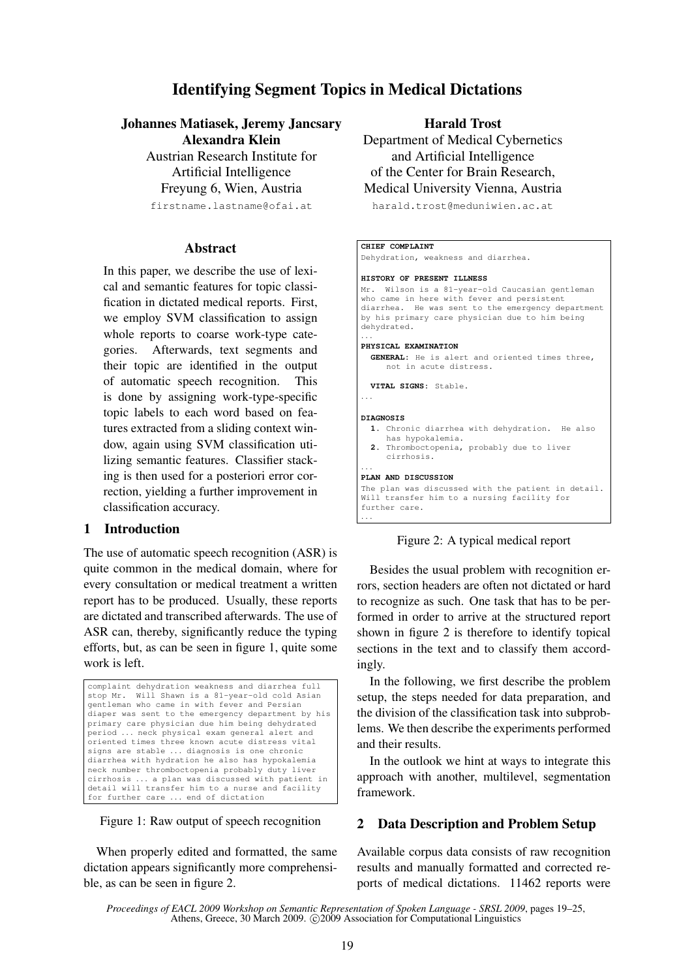# Identifying Segment Topics in Medical Dictations

Johannes Matiasek, Jeremy Jancsary Alexandra Klein

> Austrian Research Institute for Artificial Intelligence Freyung 6, Wien, Austria firstname.lastname@ofai.at

## Abstract

In this paper, we describe the use of lexical and semantic features for topic classification in dictated medical reports. First, we employ SVM classification to assign whole reports to coarse work-type categories. Afterwards, text segments and their topic are identified in the output of automatic speech recognition. This is done by assigning work-type-specific topic labels to each word based on features extracted from a sliding context window, again using SVM classification utilizing semantic features. Classifier stacking is then used for a posteriori error correction, yielding a further improvement in classification accuracy.

# 1 Introduction

The use of automatic speech recognition (ASR) is quite common in the medical domain, where for every consultation or medical treatment a written report has to be produced. Usually, these reports are dictated and transcribed afterwards. The use of ASR can, thereby, significantly reduce the typing efforts, but, as can be seen in figure 1, quite some work is left.



#### Figure 1: Raw output of speech recognition

When properly edited and formatted, the same dictation appears significantly more comprehensible, as can be seen in figure 2.

Harald Trost

Department of Medical Cybernetics and Artificial Intelligence of the Center for Brain Research, Medical University Vienna, Austria

harald.trost@meduniwien.ac.at

### **CHIEF COMPLAINT** Dehydration, weakness and diarrhea. **HISTORY OF PRESENT ILLNESS** Mr. Wilson is a 81-year-old Caucasian gentleman who came in here with fever and persistent diarrhea. He was sent to the emergency department by his primary care physician due to him being dehydrated. . . . **PHYSICAL EXAMINATION GENERAL:** He is alert and oriented times three, not in acute distress. **VITAL SIGNS:** Stable. . . . **DIAGNOSIS 1.** Chronic diarrhea with dehydration. He also has hypokalemia. **2.** Thromboctopenia, probably due to liver cirrhosis. . . . **PLAN AND DISCUSSION** The plan was discussed with the patient in detail. Will transfer him to a nursing facility for further care. . . . Figure 2: A typical medical report

Besides the usual problem with recognition errors, section headers are often not dictated or hard to recognize as such. One task that has to be performed in order to arrive at the structured report shown in figure 2 is therefore to identify topical sections in the text and to classify them accordingly.

In the following, we first describe the problem setup, the steps needed for data preparation, and the division of the classification task into subproblems. We then describe the experiments performed and their results.

In the outlook we hint at ways to integrate this approach with another, multilevel, segmentation framework.

# 2 Data Description and Problem Setup

Available corpus data consists of raw recognition results and manually formatted and corrected reports of medical dictations. 11462 reports were

*Proceedings of EACL 2009 Workshop on Semantic Representation of Spoken Language - SRSL 2009*, pages 19–25, Athens, Greece, 30 March 2009. © 2009 Association for Computational Linguistics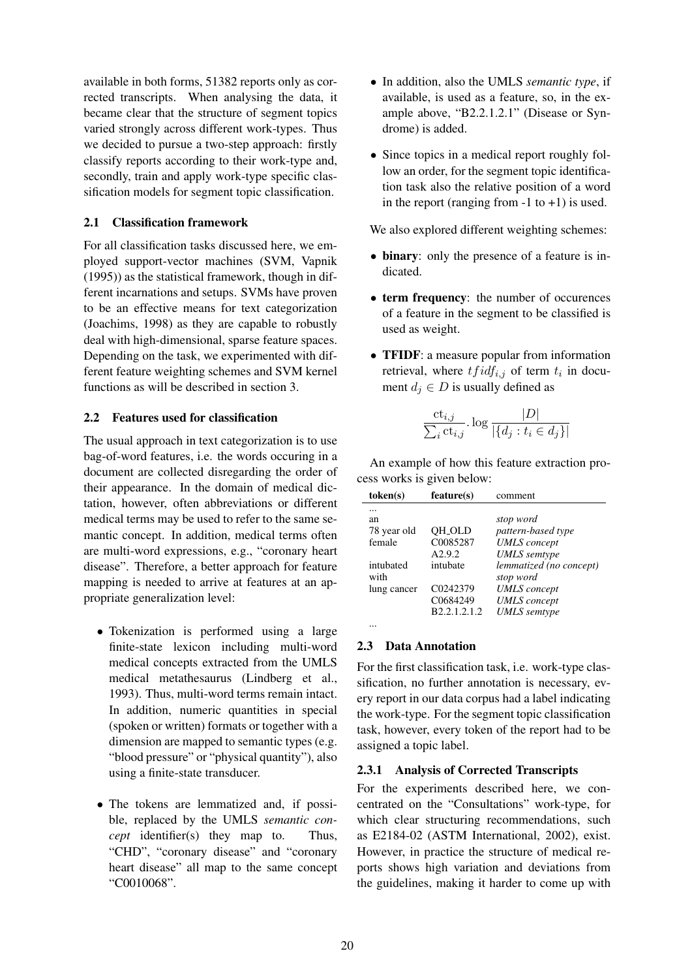available in both forms, 51382 reports only as corrected transcripts. When analysing the data, it became clear that the structure of segment topics varied strongly across different work-types. Thus we decided to pursue a two-step approach: firstly classify reports according to their work-type and, secondly, train and apply work-type specific classification models for segment topic classification.

# 2.1 Classification framework

For all classification tasks discussed here, we employed support-vector machines (SVM, Vapnik (1995)) as the statistical framework, though in different incarnations and setups. SVMs have proven to be an effective means for text categorization (Joachims, 1998) as they are capable to robustly deal with high-dimensional, sparse feature spaces. Depending on the task, we experimented with different feature weighting schemes and SVM kernel functions as will be described in section 3.

# 2.2 Features used for classification

The usual approach in text categorization is to use bag-of-word features, i.e. the words occuring in a document are collected disregarding the order of their appearance. In the domain of medical dictation, however, often abbreviations or different medical terms may be used to refer to the same semantic concept. In addition, medical terms often are multi-word expressions, e.g., "coronary heart disease". Therefore, a better approach for feature mapping is needed to arrive at features at an appropriate generalization level:

- Tokenization is performed using a large finite-state lexicon including multi-word medical concepts extracted from the UMLS medical metathesaurus (Lindberg et al., 1993). Thus, multi-word terms remain intact. In addition, numeric quantities in special (spoken or written) formats or together with a dimension are mapped to semantic types (e.g. "blood pressure" or "physical quantity"), also using a finite-state transducer.
- The tokens are lemmatized and, if possible, replaced by the UMLS *semantic concept* identifier(s) they map to. Thus, "CHD", "coronary disease" and "coronary heart disease" all map to the same concept "C0010068".
- In addition, also the UMLS *semantic type*, if available, is used as a feature, so, in the example above, "B2.2.1.2.1" (Disease or Syndrome) is added.
- Since topics in a medical report roughly follow an order, for the segment topic identification task also the relative position of a word in the report (ranging from  $-1$  to  $+1$ ) is used.

We also explored different weighting schemes:

- binary: only the presence of a feature is indicated.
- term frequency: the number of occurences of a feature in the segment to be classified is used as weight.
- **TFIDF**: a measure popular from information retrieval, where  $tfidf_{i,j}$  of term  $t_i$  in document  $d_j \in D$  is usually defined as

$$
\frac{\mathrm{ct}_{i,j}}{\sum_i \mathrm{ct}_{i,j}}.\log\frac{|D|}{|\{d_j: t_i \in d_j\}|}
$$

An example of how this feature extraction process works is given below:

| token(s)          | feature(s)         | comment                              |
|-------------------|--------------------|--------------------------------------|
|                   |                    |                                      |
| an                |                    | stop word                            |
| 78 year old       | <b>OH_OLD</b>      | pattern-based type                   |
| female            | C0085287           | <b>UMLS</b> concept                  |
|                   | A <sub>2.9.2</sub> | <b>UMLS</b> semtype                  |
| intubated<br>with | intubate           | lemmatized (no concept)<br>stop word |
| lung cancer       | C0242379           | <b>UMLS</b> concept                  |
|                   | C0684249           | <b>UMLS</b> concept                  |
|                   | B2.2.1.2.1.2       |                                      |
|                   |                    | <b>UMLS</b> semtype                  |
|                   |                    |                                      |

# 2.3 Data Annotation

For the first classification task, i.e. work-type classification, no further annotation is necessary, every report in our data corpus had a label indicating the work-type. For the segment topic classification task, however, every token of the report had to be assigned a topic label.

# 2.3.1 Analysis of Corrected Transcripts

For the experiments described here, we concentrated on the "Consultations" work-type, for which clear structuring recommendations, such as E2184-02 (ASTM International, 2002), exist. However, in practice the structure of medical reports shows high variation and deviations from the guidelines, making it harder to come up with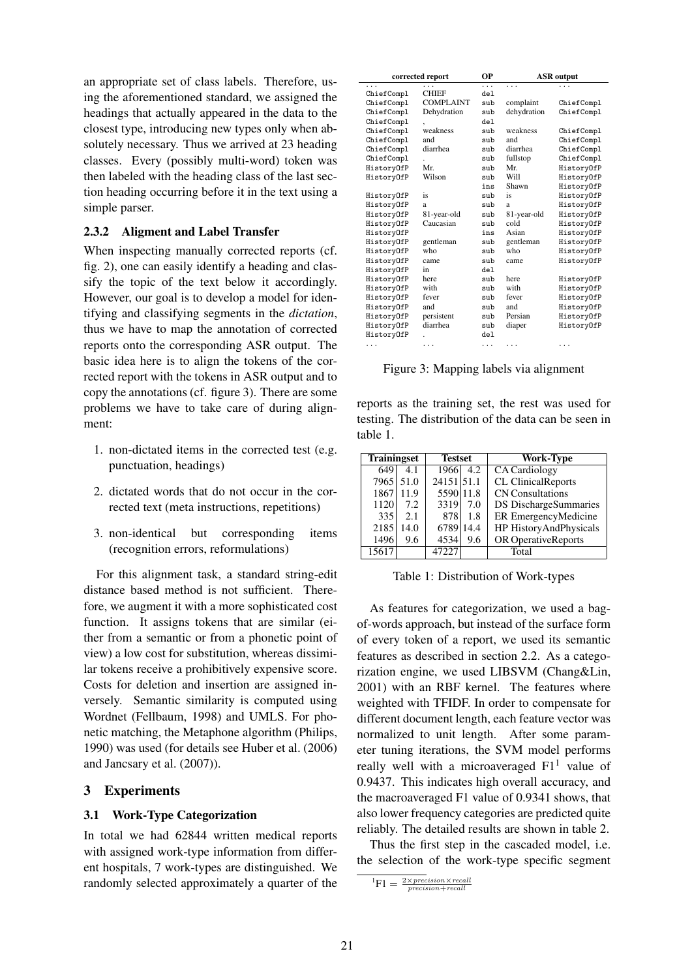an appropriate set of class labels. Therefore, using the aforementioned standard, we assigned the headings that actually appeared in the data to the closest type, introducing new types only when absolutely necessary. Thus we arrived at 23 heading classes. Every (possibly multi-word) token was then labeled with the heading class of the last section heading occurring before it in the text using a simple parser.

## 2.3.2 Aligment and Label Transfer

When inspecting manually corrected reports (cf. fig. 2), one can easily identify a heading and classify the topic of the text below it accordingly. However, our goal is to develop a model for identifying and classifying segments in the *dictation*, thus we have to map the annotation of corrected reports onto the corresponding ASR output. The basic idea here is to align the tokens of the corrected report with the tokens in ASR output and to copy the annotations (cf. figure 3). There are some problems we have to take care of during alignment:

- 1. non-dictated items in the corrected test (e.g. punctuation, headings)
- 2. dictated words that do not occur in the corrected text (meta instructions, repetitions)
- 3. non-identical but corresponding items (recognition errors, reformulations)

For this alignment task, a standard string-edit distance based method is not sufficient. Therefore, we augment it with a more sophisticated cost function. It assigns tokens that are similar (either from a semantic or from a phonetic point of view) a low cost for substitution, whereas dissimilar tokens receive a prohibitively expensive score. Costs for deletion and insertion are assigned inversely. Semantic similarity is computed using Wordnet (Fellbaum, 1998) and UMLS. For phonetic matching, the Metaphone algorithm (Philips, 1990) was used (for details see Huber et al. (2006) and Jancsary et al. (2007)).

## 3 Experiments

#### 3.1 Work-Type Categorization

In total we had 62844 written medical reports with assigned work-type information from different hospitals, 7 work-types are distinguished. We randomly selected approximately a quarter of the

| corrected report |                  | ОP              | <b>ASR</b> output |            |  |
|------------------|------------------|-----------------|-------------------|------------|--|
| .                |                  | .               | .                 |            |  |
| ChiefCompl       | <b>CHIEF</b>     | del.            |                   |            |  |
| ChiefCompl       | <b>COMPLAINT</b> | sub             | complaint         | ChiefCompl |  |
| ChiefCompl       | Dehydration      | sub             | dehydration       | ChiefCompl |  |
| ChiefCompl       | $\cdot$          | de <sub>1</sub> |                   |            |  |
| ChiefCompl       | weakness         | sub             | weakness          | ChiefCompl |  |
| ChiefCompl       | and              | sub             | and               | ChiefCompl |  |
| ChiefCompl       | diarrhea         | sub             | diarrhea          | ChiefCompl |  |
| ChiefCompl       |                  | sub             | fullstop          | ChiefCompl |  |
| HistoryOfP       | Mr.              | sub             | Mr.               | HistoryOfP |  |
| HistoryOfP       | Wilson           | sub             | Will              | HistoryOfP |  |
|                  |                  | ins             | Shawn             | HistoryOfP |  |
| HistoryOfP       | is               | sub             | is                | HistoryOfP |  |
| HistoryOfP       | a                | sub             | a                 | HistoryOfP |  |
| HistoryOfP       | 81-year-old      | sub             | 81-year-old       | HistoryOfP |  |
| HistoryOfP       | Caucasian        | sub             | cold              | HistoryOfP |  |
| HistoryOfP       |                  | ins             | Asian             | HistoryOfP |  |
| HistoryOfP       | gentleman        | sub             | gentleman         | HistoryOfP |  |
| HistoryOfP       | who              | sub             | who               | HistoryOfP |  |
| HistoryOfP       | came             | sub             | came              | HistoryOfP |  |
| HistoryOfP       | in               | del.            |                   |            |  |
| HistoryOfP       | here             | sub             | here              | HistoryOfP |  |
| HistoryOfP       | with             | sub             | with              | HistoryOfP |  |
| HistoryOfP       | fever            | sub             | fever             | HistoryOfP |  |
| HistoryOfP       | and              | sub             | and               | HistoryOfP |  |
| HistoryOfP       | persistent       | sub             | Persian           | HistoryOfP |  |
| HistoryOfP       | diarrhea         | sub             | diaper            | HistoryOfP |  |
| HistoryOfP       |                  | del             |                   |            |  |
| .                | $\cdots$         | .               | .                 | .          |  |

Figure 3: Mapping labels via alignment

reports as the training set, the rest was used for testing. The distribution of the data can be seen in table 1.

| <b>Trainingset</b> |      | <b>Testset</b> | Work-Type                 |
|--------------------|------|----------------|---------------------------|
| 649                | 4.1  | 1966<br>4.2    | <b>CA</b> Cardiology      |
| 7965               | 51.0 | 24151 51.1     | <b>CL ClinicalReports</b> |
| 1867               | 11.9 | 5590 11.8      | <b>CN</b> Consultations   |
| 1120               | 7.2  | 3319<br>7.0    | DS DischargeSummaries     |
| 335                | 2.1  | 878<br>1.8     | ER EmergencyMedicine      |
| 2185               | 14.0 | 6789 14.4      | HP HistoryAndPhysicals    |
| 1496               | 9.6  | 4534<br>9.6    | OR OperativeReports       |
| 15617              |      | 47227          | Total                     |

Table 1: Distribution of Work-types

As features for categorization, we used a bagof-words approach, but instead of the surface form of every token of a report, we used its semantic features as described in section 2.2. As a categorization engine, we used LIBSVM (Chang&Lin, 2001) with an RBF kernel. The features where weighted with TFIDF. In order to compensate for different document length, each feature vector was normalized to unit length. After some parameter tuning iterations, the SVM model performs really well with a microaveraged  $F1<sup>1</sup>$  value of 0.9437. This indicates high overall accuracy, and the macroaveraged F1 value of 0.9341 shows, that also lower frequency categories are predicted quite reliably. The detailed results are shown in table 2.

Thus the first step in the cascaded model, i.e. the selection of the work-type specific segment

 ${}^{1}\text{F1} = \frac{2 \times precision \times recall}{precision + recall}$ precision+recall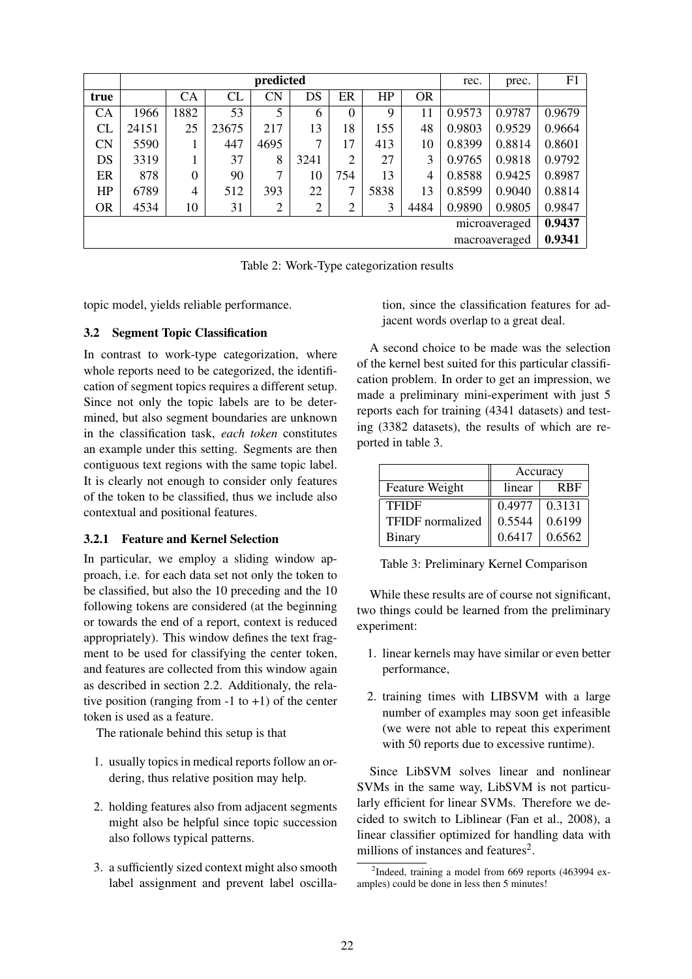|               | predicted |                |       |      |                |                  |      |           | rec.   | prec.         | F1     |
|---------------|-----------|----------------|-------|------|----------------|------------------|------|-----------|--------|---------------|--------|
| true          |           | <b>CA</b>      | CL    | CN   | DS             | ER               | HP   | <b>OR</b> |        |               |        |
| CA            | 1966      | 1882           | 53    | 5    | 6              | $\boldsymbol{0}$ | 9    | 11        | 0.9573 | 0.9787        | 0.9679 |
| CL            | 24151     | 25             | 23675 | 217  | 13             | 18               | 155  | 48        | 0.9803 | 0.9529        | 0.9664 |
| <b>CN</b>     | 5590      |                | 447   | 4695 | 7              | 17               | 413  | 10        | 0.8399 | 0.8814        | 0.8601 |
| DS            | 3319      |                | 37    | 8    | 3241           | 2                | 27   | 3         | 0.9765 | 0.9818        | 0.9792 |
| ER            | 878       | $\overline{0}$ | 90    | 7    | 10             | 754              | 13   | 4         | 0.8588 | 0.9425        | 0.8987 |
| HP            | 6789      | 4              | 512   | 393  | 22             | 7                | 5838 | 13        | 0.8599 | 0.9040        | 0.8814 |
| <b>OR</b>     | 4534      | 10             | 31    | 2    | $\overline{2}$ | $\overline{2}$   | 3    | 4484      | 0.9890 | 0.9805        | 0.9847 |
| microaveraged |           |                |       |      |                |                  |      | 0.9437    |        |               |        |
|               |           |                |       |      |                |                  |      |           |        | macroaveraged | 0.9341 |

Table 2: Work-Type categorization results

topic model, yields reliable performance.

## 3.2 Segment Topic Classification

In contrast to work-type categorization, where whole reports need to be categorized, the identification of segment topics requires a different setup. Since not only the topic labels are to be determined, but also segment boundaries are unknown in the classification task, *each token* constitutes an example under this setting. Segments are then contiguous text regions with the same topic label. It is clearly not enough to consider only features of the token to be classified, thus we include also contextual and positional features.

# 3.2.1 Feature and Kernel Selection

In particular, we employ a sliding window approach, i.e. for each data set not only the token to be classified, but also the 10 preceding and the 10 following tokens are considered (at the beginning or towards the end of a report, context is reduced appropriately). This window defines the text fragment to be used for classifying the center token, and features are collected from this window again as described in section 2.2. Additionaly, the relative position (ranging from  $-1$  to  $+1$ ) of the center token is used as a feature.

The rationale behind this setup is that

- 1. usually topics in medical reports follow an ordering, thus relative position may help.
- 2. holding features also from adjacent segments might also be helpful since topic succession also follows typical patterns.
- 3. a sufficiently sized context might also smooth label assignment and prevent label oscilla-

tion, since the classification features for adjacent words overlap to a great deal.

A second choice to be made was the selection of the kernel best suited for this particular classification problem. In order to get an impression, we made a preliminary mini-experiment with just 5 reports each for training (4341 datasets) and testing (3382 datasets), the results of which are reported in table 3.

|                  | Accuracy |            |  |
|------------------|----------|------------|--|
| Feature Weight   | linear   | <b>RBF</b> |  |
| <b>TFIDF</b>     | 0.4977   | 0.3131     |  |
| TFIDF normalized | 0.5544   | 0.6199     |  |
| <b>Binary</b>    | 0.6417   | 0.6562     |  |

Table 3: Preliminary Kernel Comparison

While these results are of course not significant, two things could be learned from the preliminary experiment:

- 1. linear kernels may have similar or even better performance,
- 2. training times with LIBSVM with a large number of examples may soon get infeasible (we were not able to repeat this experiment with 50 reports due to excessive runtime).

Since LibSVM solves linear and nonlinear SVMs in the same way, LibSVM is not particularly efficient for linear SVMs. Therefore we decided to switch to Liblinear (Fan et al., 2008), a linear classifier optimized for handling data with millions of instances and features<sup>2</sup>.

<sup>&</sup>lt;sup>2</sup>Indeed, training a model from 669 reports (463994 examples) could be done in less then 5 minutes!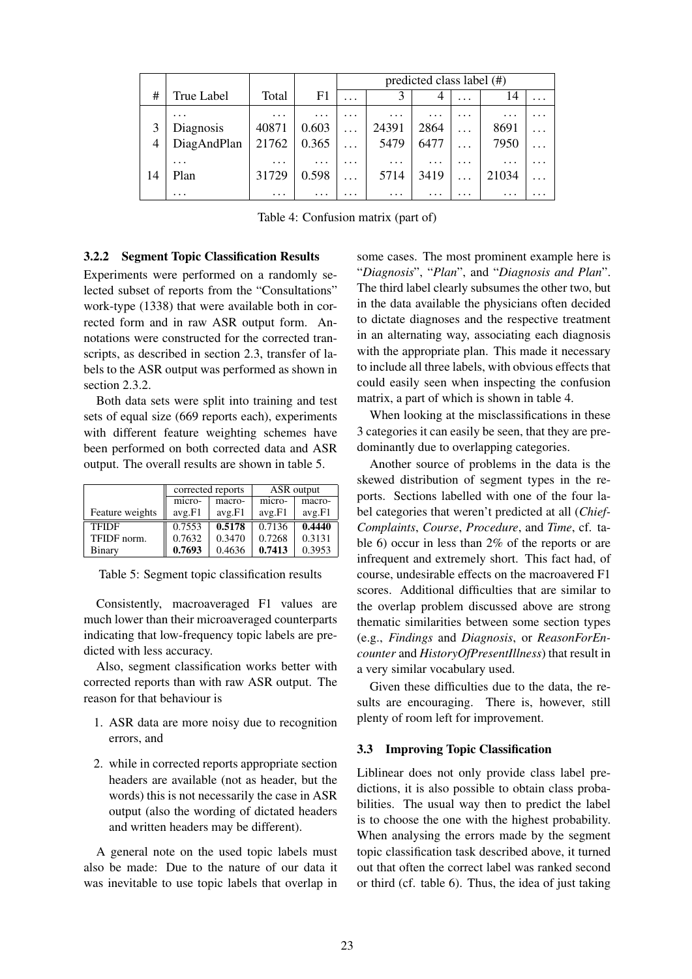|    |             |           |          | predicted class label $(\#)$ |          |           |          |          |          |
|----|-------------|-----------|----------|------------------------------|----------|-----------|----------|----------|----------|
| #  | True Label  | Total     | F1       | .                            |          |           | $\cdot$  | 14       | $\cdots$ |
|    | $\cdots$    | $\ddotsc$ | $\cdots$ | $\cdots$                     | $\cdots$ | $\cdots$  | $\cdots$ | $\cdots$ | $\cdots$ |
|    | Diagnosis   | 40871     | 0.603    | .                            | 24391    | 2864      | $\cdots$ | 8691     | $\cdots$ |
|    | DiagAndPlan | 21762     | 0.365    | .                            | 5479     | 6477      | .        | 7950     | $\cdots$ |
|    | $\ddotsc$   | $\ddotsc$ | $\cdots$ | $\cdots$                     | $\cdots$ | $\ddotsc$ | $\cdots$ | $\cdots$ | $\cdots$ |
| 14 | Plan        | 31729     | 0.598    | .                            | 5714     | 3419      |          | 21034    | .        |
|    | $\cdots$    | $\cdots$  | .        | .                            | $\cdots$ | $\cdots$  | .        | .        | .        |

Table 4: Confusion matrix (part of)

### 3.2.2 Segment Topic Classification Results

Experiments were performed on a randomly selected subset of reports from the "Consultations" work-type (1338) that were available both in corrected form and in raw ASR output form. Annotations were constructed for the corrected transcripts, as described in section 2.3, transfer of labels to the ASR output was performed as shown in section 2.3.2.

Both data sets were split into training and test sets of equal size (669 reports each), experiments with different feature weighting schemes have been performed on both corrected data and ASR output. The overall results are shown in table 5.

|                 | corrected reports<br>macro-<br>micro- |        |        | ASR output |
|-----------------|---------------------------------------|--------|--------|------------|
|                 |                                       |        | micro- | macro-     |
| Feature weights | avg.F1                                | avg.F1 | avg.F1 | avg.F1     |
| <b>TFIDF</b>    | 0.7553                                | 0.5178 | 0.7136 | 0.4440     |
| TFIDF norm.     | 0.7632                                | 0.3470 | 0.7268 | 0.3131     |
| Binary          | 0.7693                                | 0.4636 | 0.7413 | 0.3953     |

Table 5: Segment topic classification results

Consistently, macroaveraged F1 values are much lower than their microaveraged counterparts indicating that low-frequency topic labels are predicted with less accuracy.

Also, segment classification works better with corrected reports than with raw ASR output. The reason for that behaviour is

- 1. ASR data are more noisy due to recognition errors, and
- 2. while in corrected reports appropriate section headers are available (not as header, but the words) this is not necessarily the case in ASR output (also the wording of dictated headers and written headers may be different).

A general note on the used topic labels must also be made: Due to the nature of our data it was inevitable to use topic labels that overlap in some cases. The most prominent example here is "*Diagnosis*", "*Plan*", and "*Diagnosis and Plan*". The third label clearly subsumes the other two, but in the data available the physicians often decided to dictate diagnoses and the respective treatment in an alternating way, associating each diagnosis with the appropriate plan. This made it necessary to include all three labels, with obvious effects that could easily seen when inspecting the confusion matrix, a part of which is shown in table 4.

When looking at the misclassifications in these 3 categories it can easily be seen, that they are predominantly due to overlapping categories.

Another source of problems in the data is the skewed distribution of segment types in the reports. Sections labelled with one of the four label categories that weren't predicted at all (*Chief-Complaints*, *Course*, *Procedure*, and *Time*, cf. table 6) occur in less than 2% of the reports or are infrequent and extremely short. This fact had, of course, undesirable effects on the macroavered F1 scores. Additional difficulties that are similar to the overlap problem discussed above are strong thematic similarities between some section types (e.g., *Findings* and *Diagnosis*, or *ReasonForEncounter* and *HistoryOfPresentIllness*) that result in a very similar vocabulary used.

Given these difficulties due to the data, the results are encouraging. There is, however, still plenty of room left for improvement.

### 3.3 Improving Topic Classification

Liblinear does not only provide class label predictions, it is also possible to obtain class probabilities. The usual way then to predict the label is to choose the one with the highest probability. When analysing the errors made by the segment topic classification task described above, it turned out that often the correct label was ranked second or third (cf. table 6). Thus, the idea of just taking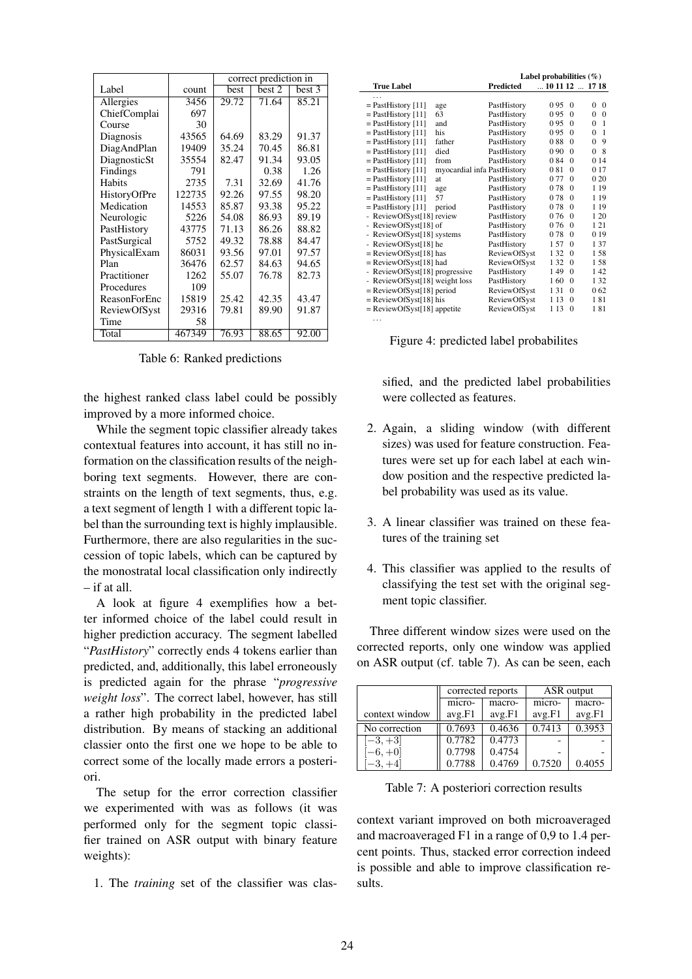|              |        | correct prediction in |        |        |  |  |
|--------------|--------|-----------------------|--------|--------|--|--|
| Label        | count  | best                  | best 2 | best 3 |  |  |
| Allergies    | 3456   | 29.72                 | 71.64  | 85.21  |  |  |
| ChiefComplai | 697    |                       |        |        |  |  |
| Course       | 30     |                       |        |        |  |  |
| Diagnosis    | 43565  | 64.69                 | 83.29  | 91.37  |  |  |
| DiagAndPlan  | 19409  | 35.24                 | 70.45  | 86.81  |  |  |
| DiagnosticSt | 35554  | 82.47                 | 91.34  | 93.05  |  |  |
| Findings     | 791    |                       | 0.38   | 1.26   |  |  |
| Habits       | 2735   | 7.31                  | 32.69  | 41.76  |  |  |
| HistoryOfPre | 122735 | 92.26                 | 97.55  | 98.20  |  |  |
| Medication   | 14553  | 85.87                 | 93.38  | 95.22  |  |  |
| Neurologic   | 5226   | 54.08                 | 86.93  | 89.19  |  |  |
| PastHistory  | 43775  | 71.13                 | 86.26  | 88.82  |  |  |
| PastSurgical | 5752   | 49.32                 | 78.88  | 84.47  |  |  |
| PhysicalExam | 86031  | 93.56                 | 97.01  | 97.57  |  |  |
| Plan         | 36476  | 62.57                 | 84.63  | 94.65  |  |  |
| Practitioner | 1262   | 55.07                 | 76.78  | 82.73  |  |  |
| Procedures   | 109    |                       |        |        |  |  |
| ReasonForEnc | 15819  | 25.42                 | 42.35  | 43.47  |  |  |
| ReviewOfSyst | 29316  | 79.81                 | 89.90  | 91.87  |  |  |
| Time         | 58     |                       |        |        |  |  |
| Total        | 467349 | 76.93                 | 88.65  | 92.00  |  |  |

Table 6: Ranked predictions

the highest ranked class label could be possibly improved by a more informed choice.

While the segment topic classifier already takes contextual features into account, it has still no information on the classification results of the neighboring text segments. However, there are constraints on the length of text segments, thus, e.g. a text segment of length 1 with a different topic label than the surrounding text is highly implausible. Furthermore, there are also regularities in the succession of topic labels, which can be captured by the monostratal local classification only indirectly – if at all.

A look at figure 4 exemplifies how a better informed choice of the label could result in higher prediction accuracy. The segment labelled "*PastHistory*" correctly ends 4 tokens earlier than predicted, and, additionally, this label erroneously is predicted again for the phrase "*progressive weight loss*". The correct label, however, has still a rather high probability in the predicted label distribution. By means of stacking an additional classier onto the first one we hope to be able to correct some of the locally made errors a posteriori.

The setup for the error correction classifier we experimented with was as follows (it was performed only for the segment topic classifier trained on ASR output with binary feature weights):

1. The *training* set of the classifier was clas-

|                                |                             | Label probabilities $(\%)$ |                                |          |                            |
|--------------------------------|-----------------------------|----------------------------|--------------------------------|----------|----------------------------|
| <b>True Label</b>              |                             | Predicted                  | $\dots$ 10 11 12 $\dots$ 17 18 |          |                            |
| .                              |                             |                            |                                |          |                            |
| $=$ PastHistory [11]           | age                         | PastHistory                | 095                            | $\Omega$ | 0<br>$\Omega$              |
| $=$ PastHistory [11]           | 63                          | PastHistory                | 0.95                           | $\Omega$ | $\Omega$<br>$\Omega$       |
| $=$ PastHistory [11]           | and                         | PastHistory                | 0.95                           | $\Omega$ | $\Omega$<br>$\mathbf{1}$   |
| $=$ PastHistory [11]           | his                         | PastHistory                | 095                            | $\Omega$ | $\Omega$<br>$\overline{1}$ |
| $=$ PastHistory [11]           | father                      | PastHistory                | 088                            | $\Omega$ | $\Omega$<br>9              |
| $=$ PastHistory [11]           | died                        | PastHistory                | 0.90                           | $\Omega$ | -8<br>$\Omega$             |
| $=$ PastHistory [11]           | from                        | PastHistory                | 084                            | $\Omega$ | 0 14                       |
| $=$ PastHistory [11]           | myocardial infa PastHistory |                            | 081                            | $\Omega$ | 0 17                       |
| $=$ PastHistory [11]           | at                          | PastHistory                | 077                            | $\Omega$ | 0 20                       |
| $=$ PastHistory [11]           | age                         | PastHistory                | 078                            | $\Omega$ | 1 1 9                      |
| $=$ PastHistory [11]           | 57                          | PastHistory                | 078                            | $\theta$ | 1 19                       |
| $=$ PastHistory [11]           | period                      | PastHistory                | 078                            | $\Omega$ | 1 19                       |
| - ReviewOfSyst[18] review      |                             | PastHistory                | 076                            | $\Omega$ | 1 20                       |
| ReviewOfSyst[18] of            |                             | PastHistory                | 0.76                           | $\Omega$ | 121                        |
| - ReviewOfSyst[18] systems     |                             | PastHistory                | 078                            | $\Omega$ | 0 19                       |
| - ReviewOfSyst[18] he          |                             | PastHistory                | 157                            | $\Omega$ | 137                        |
| $=$ ReviewOfSyst[18] has       |                             | ReviewOfSyst               | 1 32                           | $\Omega$ | 158                        |
| $=$ ReviewOfSyst[18] had       |                             | ReviewOfSyst               | 1 32                           | $\Omega$ | 158                        |
| - ReviewOfSyst[18] progressive |                             | PastHistory                | 149                            | $\Omega$ | 142                        |
| - ReviewOfSyst[18] weight loss |                             | PastHistory                | 160                            | $\Omega$ | 1 32                       |
| = ReviewOfSyst[18] period      |                             | ReviewOfSyst               | 131                            | $\Omega$ | 0.62                       |
| $=$ ReviewOfSyst[18] his       |                             | ReviewOfSyst               | 1 1 3                          | $\Omega$ | 181                        |
| $=$ ReviewOfSyst[18] appetite  |                             | <b>ReviewOfSyst</b>        | 1 13                           | $\theta$ | 181                        |

Figure 4: predicted label probabilites

. . .

sified, and the predicted label probabilities were collected as features.

- 2. Again, a sliding window (with different sizes) was used for feature construction. Features were set up for each label at each window position and the respective predicted label probability was used as its value.
- 3. A linear classifier was trained on these features of the training set
- 4. This classifier was applied to the results of classifying the test set with the original segment topic classifier.

Three different window sizes were used on the corrected reports, only one window was applied on ASR output (cf. table 7). As can be seen, each

|                |        | corrected reports | ASR output |        |  |
|----------------|--------|-------------------|------------|--------|--|
|                | micro- | macro-            | micro-     | macro- |  |
| context window | avg.F1 | avg.F1            | avg.F1     | avg.F1 |  |
| No correction  | 0.7693 | 0.4636            | 0.7413     | 0.3953 |  |
| $-3, +3$       | 0.7782 | 0.4773            |            |        |  |
| $-6, +0]$      | 0.7798 | 0.4754            |            |        |  |
| $-3, +4$       | 0.7788 | 0.4769            | 0.7520     | 0.4055 |  |

Table 7: A posteriori correction results

context variant improved on both microaveraged and macroaveraged F1 in a range of 0,9 to 1.4 percent points. Thus, stacked error correction indeed is possible and able to improve classification results.